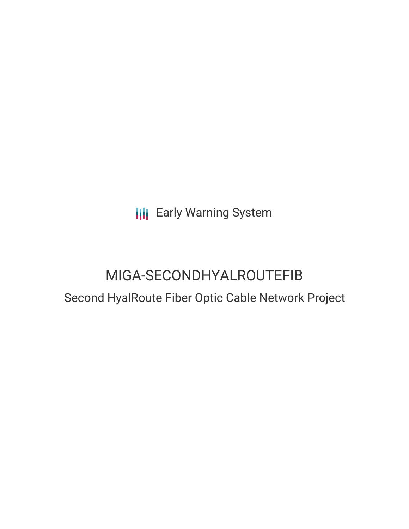**III** Early Warning System

# MIGA-SECONDHYALROUTEFIB Second HyalRoute Fiber Optic Cable Network Project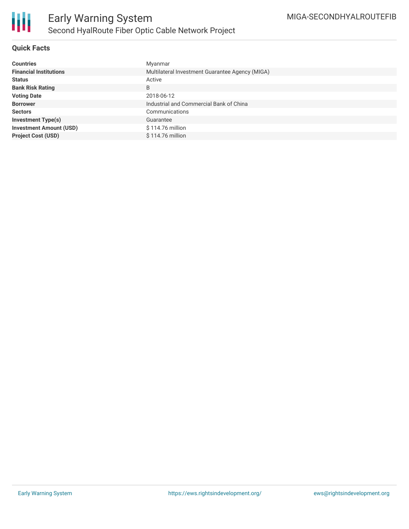

# **Quick Facts**

| <b>Countries</b>               | Myanmar                                         |
|--------------------------------|-------------------------------------------------|
| <b>Financial Institutions</b>  | Multilateral Investment Guarantee Agency (MIGA) |
| <b>Status</b>                  | Active                                          |
| <b>Bank Risk Rating</b>        | B                                               |
| <b>Voting Date</b>             | 2018-06-12                                      |
| <b>Borrower</b>                | Industrial and Commercial Bank of China         |
| <b>Sectors</b>                 | Communications                                  |
| <b>Investment Type(s)</b>      | Guarantee                                       |
| <b>Investment Amount (USD)</b> | \$114.76 million                                |
| <b>Project Cost (USD)</b>      | $$114.76$ million                               |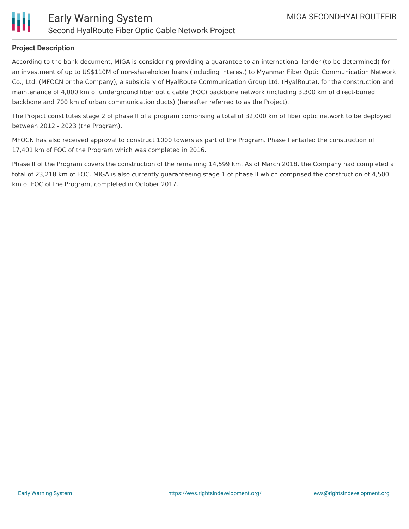

# **Project Description**

According to the bank document, MIGA is considering providing a guarantee to an international lender (to be determined) for an investment of up to US\$110M of non-shareholder loans (including interest) to Myanmar Fiber Optic Communication Network Co., Ltd. (MFOCN or the Company), a subsidiary of HyalRoute Communication Group Ltd. (HyalRoute), for the construction and maintenance of 4,000 km of underground fiber optic cable (FOC) backbone network (including 3,300 km of direct-buried backbone and 700 km of urban communication ducts) (hereafter referred to as the Project).

The Project constitutes stage 2 of phase II of a program comprising a total of 32,000 km of fiber optic network to be deployed between 2012 - 2023 (the Program).

MFOCN has also received approval to construct 1000 towers as part of the Program. Phase I entailed the construction of 17,401 km of FOC of the Program which was completed in 2016.

Phase II of the Program covers the construction of the remaining 14,599 km. As of March 2018, the Company had completed a total of 23,218 km of FOC. MIGA is also currently guaranteeing stage 1 of phase II which comprised the construction of 4,500 km of FOC of the Program, completed in October 2017.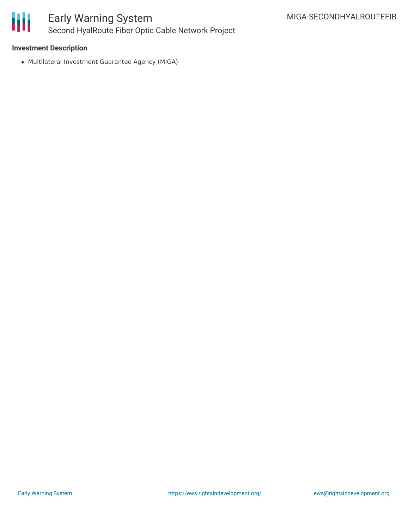

# **Investment Description**

Multilateral Investment Guarantee Agency (MIGA)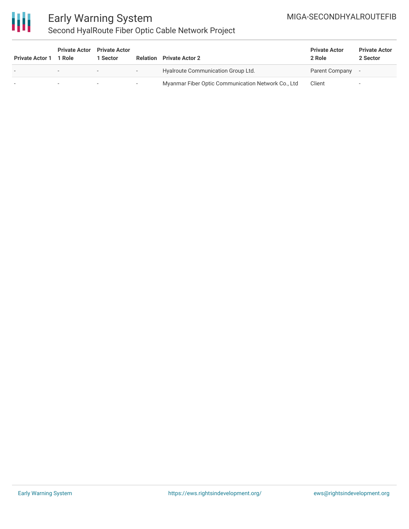# MIGA-SECONDHYALROUTEFIB



# Early Warning System Second HyalRoute Fiber Optic Cable Network Project

| <b>Private Actor 1</b> | <b>Private Actor</b><br>1 Role | <b>Private Actor</b><br><b>Sector</b> | Relation | <b>Private Actor 2</b>                             | <b>Private Actor</b><br>2 Role | <b>Private Actor</b><br>2 Sector |
|------------------------|--------------------------------|---------------------------------------|----------|----------------------------------------------------|--------------------------------|----------------------------------|
|                        |                                | ۰.                                    | $\sim$   | Hyalroute Communication Group Ltd.                 | Parent Company                 |                                  |
|                        |                                | ٠                                     | $\sim$   | Myanmar Fiber Optic Communication Network Co., Ltd | Client                         | $\overline{\phantom{a}}$         |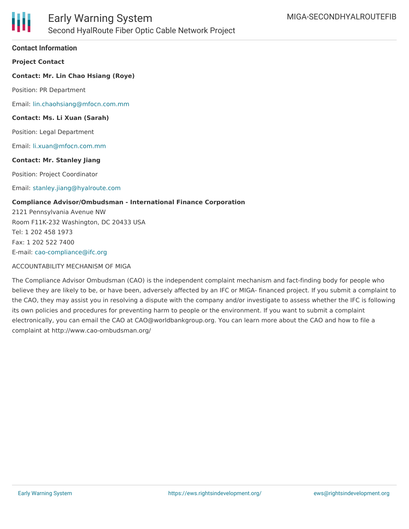

## **Contact Information**

**Project Contact**

## **Contact: Mr. Lin Chao Hsiang (Roye)**

Position: PR Department

Email: [lin.chaohsiang@mfocn.com.mm](mailto:lin.chaohsiang@mfocn.com.mm)

#### **Contact: Ms. Li Xuan (Sarah)**

Position: Legal Department

Email: [li.xuan@mfocn.com.mm](mailto:li.xuan@mfocn.com.mm)

#### **Contact: Mr. Stanley Jiang**

Position: Project Coordinator

#### Email: [stanley.jiang@hyalroute.com](mailto:stanley.jiang@hyalroute.com)

#### **Compliance Advisor/Ombudsman - International Finance Corporation**

2121 Pennsylvania Avenue NW Room F11K-232 Washington, DC 20433 USA Tel: 1 202 458 1973 Fax: 1 202 522 7400 E-mail: [cao-compliance@ifc.org](mailto:cao-compliance@ifc.org)

#### ACCOUNTABILITY MECHANISM OF MIGA

The Compliance Advisor Ombudsman (CAO) is the independent complaint mechanism and fact-finding body for people who believe they are likely to be, or have been, adversely affected by an IFC or MIGA- financed project. If you submit a complaint to the CAO, they may assist you in resolving a dispute with the company and/or investigate to assess whether the IFC is following its own policies and procedures for preventing harm to people or the environment. If you want to submit a complaint electronically, you can email the CAO at CAO@worldbankgroup.org. You can learn more about the CAO and how to file a complaint at http://www.cao-ombudsman.org/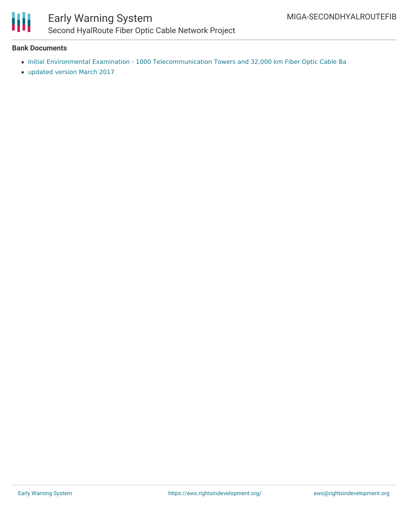

# Early Warning System Second HyalRoute Fiber Optic Cable Network Project

## **Bank Documents**

- Initial Environmental Examination 1000 [Telecommunication](http://www.miga.org/Documents/SPGDisclosures/Second HyalRoute Fiber Optic Cable Network IEE March 2017.pdf) Towers and 32,000 km Fiber Optic Cable Ba
- [updated](http://www.miga.org/Documents/SPGDisclosures/Second HyalRoute Fiber Optic Cable Network IEE March 2017.pdf) version March 2017